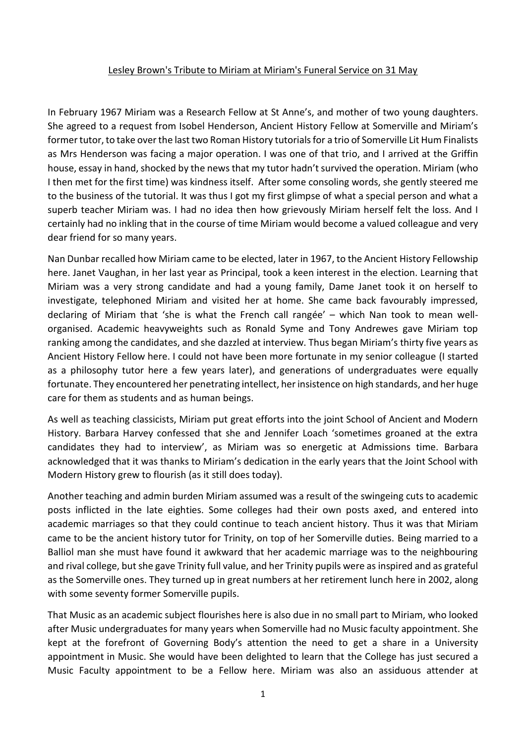## Lesley Brown's Tribute to Miriam at Miriam's Funeral Service on 31 May

In February 1967 Miriam was a Research Fellow at St Anne's, and mother of two young daughters. She agreed to a request from Isobel Henderson, Ancient History Fellow at Somerville and Miriam's former tutor, to take over the last two Roman History tutorials for a trio of Somerville Lit Hum Finalists as Mrs Henderson was facing a major operation. I was one of that trio, and I arrived at the Griffin house, essay in hand, shocked by the news that my tutor hadn't survived the operation. Miriam (who I then met for the first time) was kindness itself. After some consoling words, she gently steered me to the business of the tutorial. It was thus I got my first glimpse of what a special person and what a superb teacher Miriam was. I had no idea then how grievously Miriam herself felt the loss. And I certainly had no inkling that in the course of time Miriam would become a valued colleague and very dear friend for so many years.

Nan Dunbar recalled how Miriam came to be elected, later in 1967, to the Ancient History Fellowship here. Janet Vaughan, in her last year as Principal, took a keen interest in the election. Learning that Miriam was a very strong candidate and had a young family, Dame Janet took it on herself to investigate, telephoned Miriam and visited her at home. She came back favourably impressed, declaring of Miriam that 'she is what the French call rangée' – which Nan took to mean wellorganised. Academic heavyweights such as Ronald Syme and Tony Andrewes gave Miriam top ranking among the candidates, and she dazzled at interview. Thus began Miriam's thirty five years as Ancient History Fellow here. I could not have been more fortunate in my senior colleague (I started as a philosophy tutor here a few years later), and generations of undergraduates were equally fortunate. They encountered her penetrating intellect, her insistence on high standards, and her huge care for them as students and as human beings.

As well as teaching classicists, Miriam put great efforts into the joint School of Ancient and Modern History. Barbara Harvey confessed that she and Jennifer Loach 'sometimes groaned at the extra candidates they had to interview', as Miriam was so energetic at Admissions time. Barbara acknowledged that it was thanks to Miriam's dedication in the early years that the Joint School with Modern History grew to flourish (as it still does today).

Another teaching and admin burden Miriam assumed was a result of the swingeing cuts to academic posts inflicted in the late eighties. Some colleges had their own posts axed, and entered into academic marriages so that they could continue to teach ancient history. Thus it was that Miriam came to be the ancient history tutor for Trinity, on top of her Somerville duties. Being married to a Balliol man she must have found it awkward that her academic marriage was to the neighbouring and rival college, but she gave Trinity full value, and her Trinity pupils were as inspired and as grateful as the Somerville ones. They turned up in great numbers at her retirement lunch here in 2002, along with some seventy former Somerville pupils.

That Music as an academic subject flourishes here is also due in no small part to Miriam, who looked after Music undergraduates for many years when Somerville had no Music faculty appointment. She kept at the forefront of Governing Body's attention the need to get a share in a University appointment in Music. She would have been delighted to learn that the College has just secured a Music Faculty appointment to be a Fellow here. Miriam was also an assiduous attender at